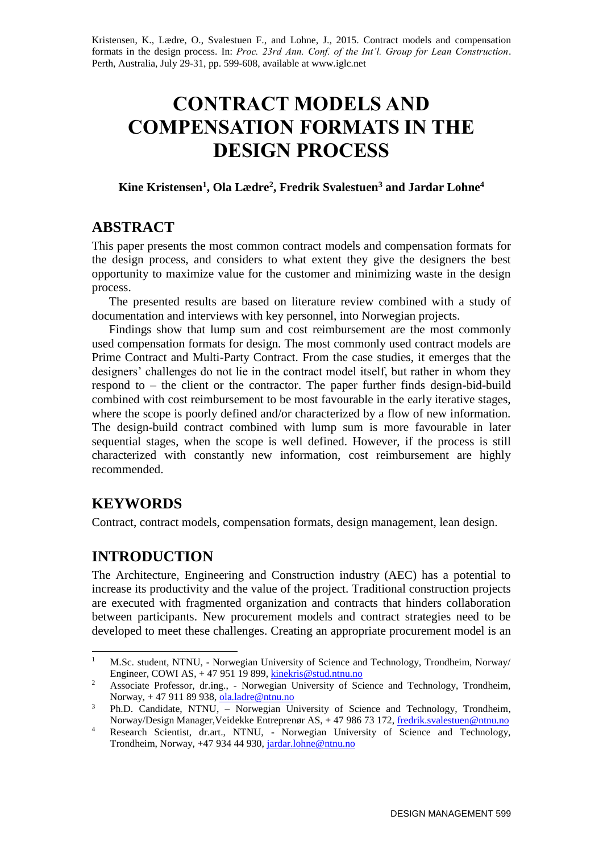Kristensen, K., Lædre, O., Svalestuen F., and Lohne, J., 2015. Contract models and compensation formats in the design process. In: *Proc. 23rd Ann. Conf. of the Int'l. Group for Lean Construction*. Perth, Australia, July 29-31, pp. 599-608, available a[t www.iglc.net](http://www.iglc.net/)

# **CONTRACT MODELS AND COMPENSATION FORMATS IN THE DESIGN PROCESS**

**Kine Kristensen<sup>1</sup> , Ola Lædre<sup>2</sup> , Fredrik Svalestuen<sup>3</sup> and Jardar Lohne<sup>4</sup>**

# **ABSTRACT**

This paper presents the most common contract models and compensation formats for the design process, and considers to what extent they give the designers the best opportunity to maximize value for the customer and minimizing waste in the design process.

The presented results are based on literature review combined with a study of documentation and interviews with key personnel, into Norwegian projects.

Findings show that lump sum and cost reimbursement are the most commonly used compensation formats for design. The most commonly used contract models are Prime Contract and Multi-Party Contract. From the case studies, it emerges that the designers' challenges do not lie in the contract model itself, but rather in whom they respond to – the client or the contractor. The paper further finds design-bid-build combined with cost reimbursement to be most favourable in the early iterative stages, where the scope is poorly defined and/or characterized by a flow of new information. The design-build contract combined with lump sum is more favourable in later sequential stages, when the scope is well defined. However, if the process is still characterized with constantly new information, cost reimbursement are highly recommended.

# **KEYWORDS**

Contract, contract models, compensation formats, design management, lean design.

# **INTRODUCTION**

The Architecture, Engineering and Construction industry (AEC) has a potential to increase its productivity and the value of the project. Traditional construction projects are executed with fragmented organization and contracts that hinders collaboration between participants. New procurement models and contract strategies need to be developed to meet these challenges. Creating an appropriate procurement model is an

 $\mathbf{1}$ <sup>1</sup> M.Sc. student, NTNU, - Norwegian University of Science and Technology, Trondheim, Norway/ Engineer, COWI AS,  $+47$  951 19 899, kinekris@stud.ntnu.no

<sup>&</sup>lt;sup>2</sup> Associate Professor, dr.ing., - Norwegian University of Science and Technology, Trondheim, Norway, + 47 911 89 938[, ola.ladre@ntnu.no](mailto:ola.ladre@ntnu.no)

<sup>&</sup>lt;sup>3</sup> Ph.D. Candidate, NTNU,  $\overline{\phantom{a}}$  Norwegian University of Science and Technology, Trondheim, Norway/Design Manager, Veidekke Entreprenør AS, + 47 986 73 172, [fredrik.svalestuen@ntnu.no](mailto:fredrik.svalestuen@ntnu.no)

<sup>&</sup>lt;sup>4</sup> Research Scientist, dr.art., NTNU, - Norwegian University of Science and Technology, Trondheim, Norway, +47 934 44 930[, jardar.lohne@ntnu.no](mailto:jardar.lohne@ntnu.no)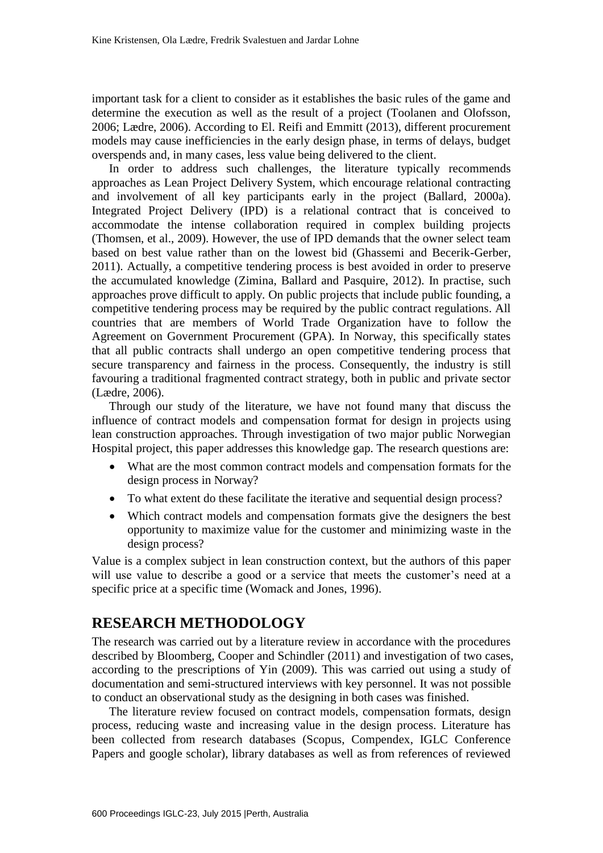important task for a client to consider as it establishes the basic rules of the game and determine the execution as well as the result of a project (Toolanen and Olofsson, 2006; Lædre, 2006). According to El. Reifi and Emmitt (2013), different procurement models may cause inefficiencies in the early design phase, in terms of delays, budget overspends and, in many cases, less value being delivered to the client.

In order to address such challenges, the literature typically recommends approaches as Lean Project Delivery System, which encourage relational contracting and involvement of all key participants early in the project (Ballard, 2000a). Integrated Project Delivery (IPD) is a relational contract that is conceived to accommodate the intense collaboration required in complex building projects (Thomsen, et al., 2009). However, the use of IPD demands that the owner select team based on best value rather than on the lowest bid (Ghassemi and Becerik-Gerber, 2011). Actually, a competitive tendering process is best avoided in order to preserve the accumulated knowledge (Zimina, Ballard and Pasquire, 2012). In practise, such approaches prove difficult to apply. On public projects that include public founding, a competitive tendering process may be required by the public contract regulations. All countries that are members of World Trade Organization have to follow the Agreement on Government Procurement (GPA). In Norway, this specifically states that all public contracts shall undergo an open competitive tendering process that secure transparency and fairness in the process. Consequently, the industry is still favouring a traditional fragmented contract strategy, both in public and private sector (Lædre, 2006).

Through our study of the literature, we have not found many that discuss the influence of contract models and compensation format for design in projects using lean construction approaches. Through investigation of two major public Norwegian Hospital project, this paper addresses this knowledge gap. The research questions are:

- What are the most common contract models and compensation formats for the design process in Norway?
- To what extent do these facilitate the iterative and sequential design process?
- Which contract models and compensation formats give the designers the best opportunity to maximize value for the customer and minimizing waste in the design process?

Value is a complex subject in lean construction context, but the authors of this paper will use value to describe a good or a service that meets the customer's need at a specific price at a specific time (Womack and Jones, 1996).

# **RESEARCH METHODOLOGY**

The research was carried out by a literature review in accordance with the procedures described by Bloomberg, Cooper and Schindler (2011) and investigation of two cases, according to the prescriptions of Yin (2009). This was carried out using a study of documentation and semi-structured interviews with key personnel. It was not possible to conduct an observational study as the designing in both cases was finished.

The literature review focused on contract models, compensation formats, design process, reducing waste and increasing value in the design process. Literature has been collected from research databases (Scopus, Compendex, IGLC Conference Papers and google scholar), library databases as well as from references of reviewed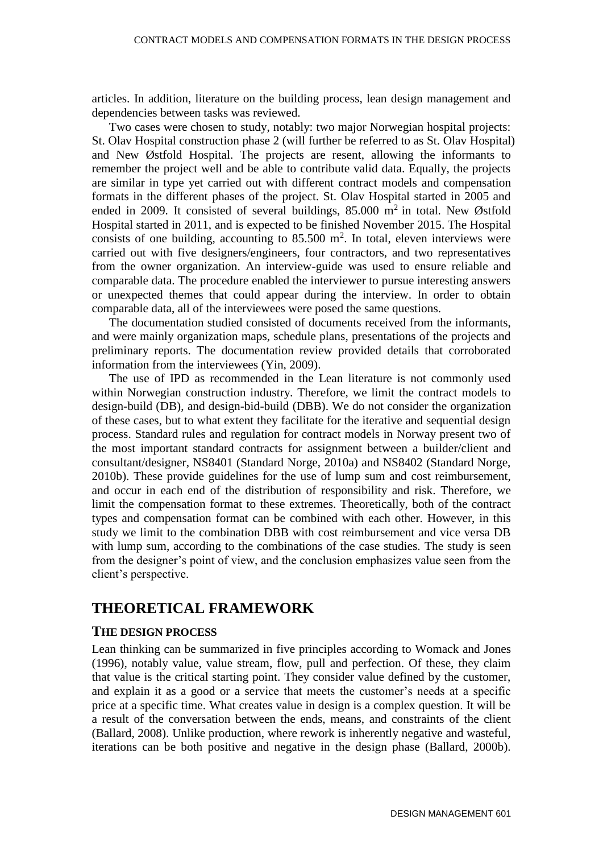articles. In addition, literature on the building process, lean design management and dependencies between tasks was reviewed.

Two cases were chosen to study, notably: two major Norwegian hospital projects: St. Olav Hospital construction phase 2 (will further be referred to as St. Olav Hospital) and New Østfold Hospital. The projects are resent, allowing the informants to remember the project well and be able to contribute valid data. Equally, the projects are similar in type yet carried out with different contract models and compensation formats in the different phases of the project. St. Olav Hospital started in 2005 and ended in 2009. It consisted of several buildings,  $85.000 \text{ m}^2$  in total. New Østfold Hospital started in 2011, and is expected to be finished November 2015. The Hospital consists of one building, accounting to  $85.500 \text{ m}^2$ . In total, eleven interviews were carried out with five designers/engineers, four contractors, and two representatives from the owner organization. An interview-guide was used to ensure reliable and comparable data. The procedure enabled the interviewer to pursue interesting answers or unexpected themes that could appear during the interview. In order to obtain comparable data, all of the interviewees were posed the same questions.

The documentation studied consisted of documents received from the informants, and were mainly organization maps, schedule plans, presentations of the projects and preliminary reports. The documentation review provided details that corroborated information from the interviewees (Yin, 2009).

The use of IPD as recommended in the Lean literature is not commonly used within Norwegian construction industry. Therefore, we limit the contract models to design-build (DB), and design-bid-build (DBB). We do not consider the organization of these cases, but to what extent they facilitate for the iterative and sequential design process. Standard rules and regulation for contract models in Norway present two of the most important standard contracts for assignment between a builder/client and consultant/designer, NS8401 (Standard Norge, 2010a) and NS8402 (Standard Norge, 2010b). These provide guidelines for the use of lump sum and cost reimbursement, and occur in each end of the distribution of responsibility and risk. Therefore, we limit the compensation format to these extremes. Theoretically, both of the contract types and compensation format can be combined with each other. However, in this study we limit to the combination DBB with cost reimbursement and vice versa DB with lump sum, according to the combinations of the case studies. The study is seen from the designer's point of view, and the conclusion emphasizes value seen from the client's perspective.

## **THEORETICAL FRAMEWORK**

#### **THE DESIGN PROCESS**

Lean thinking can be summarized in five principles according to Womack and Jones (1996), notably value, value stream, flow, pull and perfection. Of these, they claim that value is the critical starting point. They consider value defined by the customer, and explain it as a good or a service that meets the customer's needs at a specific price at a specific time. What creates value in design is a complex question. It will be a result of the conversation between the ends, means, and constraints of the client (Ballard, 2008). Unlike production, where rework is inherently negative and wasteful, iterations can be both positive and negative in the design phase (Ballard, 2000b).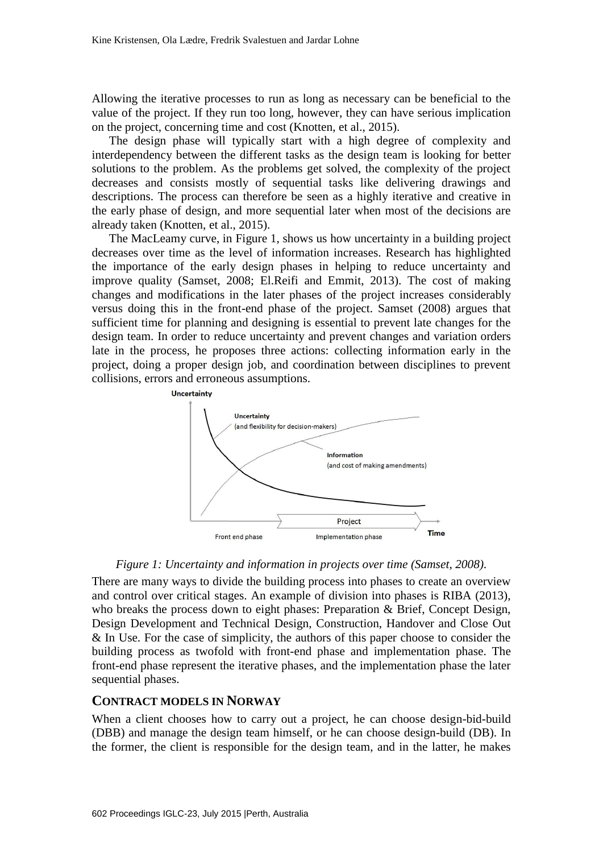Allowing the iterative processes to run as long as necessary can be beneficial to the value of the project. If they run too long, however, they can have serious implication on the project, concerning time and cost (Knotten, et al., 2015).

The design phase will typically start with a high degree of complexity and interdependency between the different tasks as the design team is looking for better solutions to the problem. As the problems get solved, the complexity of the project decreases and consists mostly of sequential tasks like delivering drawings and descriptions. The process can therefore be seen as a highly iterative and creative in the early phase of design, and more sequential later when most of the decisions are already taken (Knotten, et al., 2015).

The MacLeamy curve, in Figure 1, shows us how uncertainty in a building project decreases over time as the level of information increases. Research has highlighted the importance of the early design phases in helping to reduce uncertainty and improve quality (Samset, 2008; El.Reifi and Emmit, 2013). The cost of making changes and modifications in the later phases of the project increases considerably versus doing this in the front-end phase of the project. Samset (2008) argues that sufficient time for planning and designing is essential to prevent late changes for the design team. In order to reduce uncertainty and prevent changes and variation orders late in the process, he proposes three actions: collecting information early in the project, doing a proper design job, and coordination between disciplines to prevent collisions, errors and erroneous assumptions.





There are many ways to divide the building process into phases to create an overview and control over critical stages. An example of division into phases is RIBA (2013), who breaks the process down to eight phases: Preparation & Brief, Concept Design, Design Development and Technical Design, Construction, Handover and Close Out & In Use. For the case of simplicity, the authors of this paper choose to consider the building process as twofold with front-end phase and implementation phase. The front-end phase represent the iterative phases, and the implementation phase the later sequential phases.

#### **CONTRACT MODELS IN NORWAY**

When a client chooses how to carry out a project, he can choose design-bid-build (DBB) and manage the design team himself, or he can choose design-build (DB). In the former, the client is responsible for the design team, and in the latter, he makes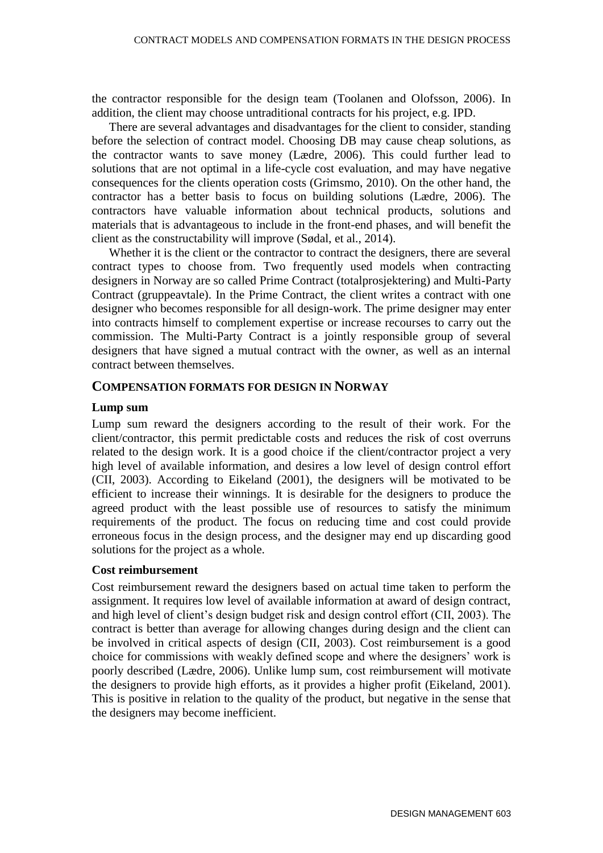the contractor responsible for the design team (Toolanen and Olofsson, 2006). In addition, the client may choose untraditional contracts for his project, e.g. IPD.

There are several advantages and disadvantages for the client to consider, standing before the selection of contract model. Choosing DB may cause cheap solutions, as the contractor wants to save money (Lædre, 2006). This could further lead to solutions that are not optimal in a life-cycle cost evaluation, and may have negative consequences for the clients operation costs (Grimsmo, 2010). On the other hand, the contractor has a better basis to focus on building solutions (Lædre, 2006). The contractors have valuable information about technical products, solutions and materials that is advantageous to include in the front-end phases, and will benefit the client as the constructability will improve (Sødal, et al., 2014).

Whether it is the client or the contractor to contract the designers, there are several contract types to choose from. Two frequently used models when contracting designers in Norway are so called Prime Contract (totalprosjektering) and Multi-Party Contract (gruppeavtale). In the Prime Contract, the client writes a contract with one designer who becomes responsible for all design-work. The prime designer may enter into contracts himself to complement expertise or increase recourses to carry out the commission. The Multi-Party Contract is a jointly responsible group of several designers that have signed a mutual contract with the owner, as well as an internal contract between themselves.

#### **COMPENSATION FORMATS FOR DESIGN IN NORWAY**

#### **Lump sum**

Lump sum reward the designers according to the result of their work. For the client/contractor, this permit predictable costs and reduces the risk of cost overruns related to the design work. It is a good choice if the client/contractor project a very high level of available information, and desires a low level of design control effort (CII, 2003). According to Eikeland (2001), the designers will be motivated to be efficient to increase their winnings. It is desirable for the designers to produce the agreed product with the least possible use of resources to satisfy the minimum requirements of the product. The focus on reducing time and cost could provide erroneous focus in the design process, and the designer may end up discarding good solutions for the project as a whole.

#### **Cost reimbursement**

Cost reimbursement reward the designers based on actual time taken to perform the assignment. It requires low level of available information at award of design contract, and high level of client's design budget risk and design control effort (CII, 2003). The contract is better than average for allowing changes during design and the client can be involved in critical aspects of design (CII, 2003). Cost reimbursement is a good choice for commissions with weakly defined scope and where the designers' work is poorly described (Lædre, 2006). Unlike lump sum, cost reimbursement will motivate the designers to provide high efforts, as it provides a higher profit (Eikeland, 2001). This is positive in relation to the quality of the product, but negative in the sense that the designers may become inefficient.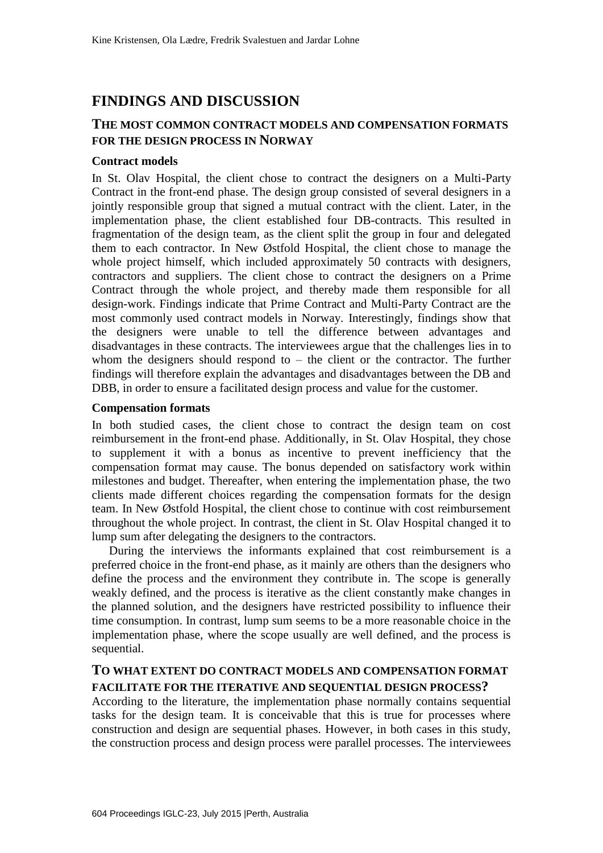# **FINDINGS AND DISCUSSION**

## **THE MOST COMMON CONTRACT MODELS AND COMPENSATION FORMATS FOR THE DESIGN PROCESS IN NORWAY**

#### **Contract models**

In St. Olav Hospital, the client chose to contract the designers on a Multi-Party Contract in the front-end phase. The design group consisted of several designers in a jointly responsible group that signed a mutual contract with the client. Later, in the implementation phase, the client established four DB-contracts. This resulted in fragmentation of the design team, as the client split the group in four and delegated them to each contractor. In New Østfold Hospital, the client chose to manage the whole project himself, which included approximately 50 contracts with designers, contractors and suppliers. The client chose to contract the designers on a Prime Contract through the whole project, and thereby made them responsible for all design-work. Findings indicate that Prime Contract and Multi-Party Contract are the most commonly used contract models in Norway. Interestingly, findings show that the designers were unable to tell the difference between advantages and disadvantages in these contracts. The interviewees argue that the challenges lies in to whom the designers should respond to  $-$  the client or the contractor. The further findings will therefore explain the advantages and disadvantages between the DB and DBB, in order to ensure a facilitated design process and value for the customer.

#### **Compensation formats**

In both studied cases, the client chose to contract the design team on cost reimbursement in the front-end phase. Additionally, in St. Olav Hospital, they chose to supplement it with a bonus as incentive to prevent inefficiency that the compensation format may cause. The bonus depended on satisfactory work within milestones and budget. Thereafter, when entering the implementation phase, the two clients made different choices regarding the compensation formats for the design team. In New Østfold Hospital, the client chose to continue with cost reimbursement throughout the whole project. In contrast, the client in St. Olav Hospital changed it to lump sum after delegating the designers to the contractors.

During the interviews the informants explained that cost reimbursement is a preferred choice in the front-end phase, as it mainly are others than the designers who define the process and the environment they contribute in. The scope is generally weakly defined, and the process is iterative as the client constantly make changes in the planned solution, and the designers have restricted possibility to influence their time consumption. In contrast, lump sum seems to be a more reasonable choice in the implementation phase, where the scope usually are well defined, and the process is sequential.

### **TO WHAT EXTENT DO CONTRACT MODELS AND COMPENSATION FORMAT FACILITATE FOR THE ITERATIVE AND SEQUENTIAL DESIGN PROCESS?**

According to the literature, the implementation phase normally contains sequential tasks for the design team. It is conceivable that this is true for processes where construction and design are sequential phases. However, in both cases in this study, the construction process and design process were parallel processes. The interviewees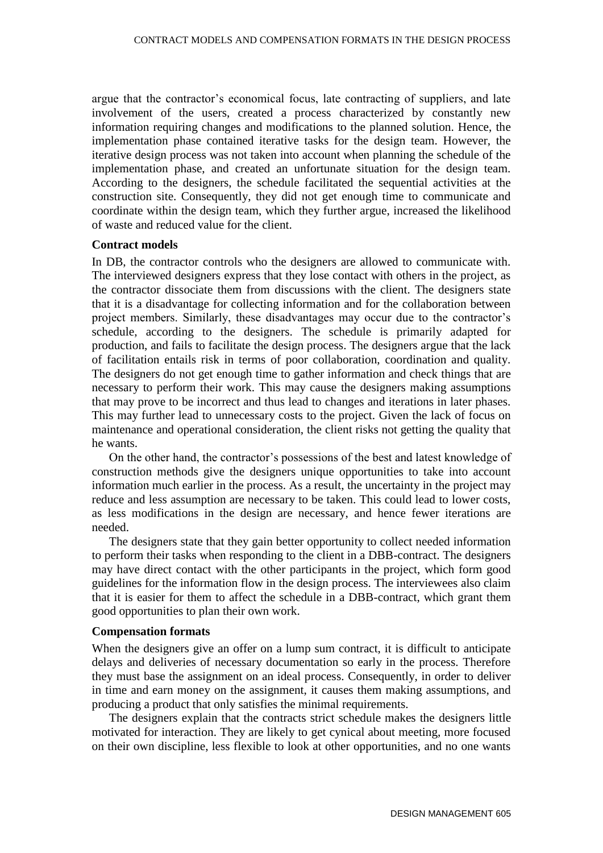argue that the contractor's economical focus, late contracting of suppliers, and late involvement of the users, created a process characterized by constantly new information requiring changes and modifications to the planned solution. Hence, the implementation phase contained iterative tasks for the design team. However, the iterative design process was not taken into account when planning the schedule of the implementation phase, and created an unfortunate situation for the design team. According to the designers, the schedule facilitated the sequential activities at the construction site. Consequently, they did not get enough time to communicate and coordinate within the design team, which they further argue, increased the likelihood of waste and reduced value for the client.

#### **Contract models**

In DB, the contractor controls who the designers are allowed to communicate with. The interviewed designers express that they lose contact with others in the project, as the contractor dissociate them from discussions with the client. The designers state that it is a disadvantage for collecting information and for the collaboration between project members. Similarly, these disadvantages may occur due to the contractor's schedule, according to the designers. The schedule is primarily adapted for production, and fails to facilitate the design process. The designers argue that the lack of facilitation entails risk in terms of poor collaboration, coordination and quality. The designers do not get enough time to gather information and check things that are necessary to perform their work. This may cause the designers making assumptions that may prove to be incorrect and thus lead to changes and iterations in later phases. This may further lead to unnecessary costs to the project. Given the lack of focus on maintenance and operational consideration, the client risks not getting the quality that he wants.

On the other hand, the contractor's possessions of the best and latest knowledge of construction methods give the designers unique opportunities to take into account information much earlier in the process. As a result, the uncertainty in the project may reduce and less assumption are necessary to be taken. This could lead to lower costs, as less modifications in the design are necessary, and hence fewer iterations are needed.

The designers state that they gain better opportunity to collect needed information to perform their tasks when responding to the client in a DBB-contract. The designers may have direct contact with the other participants in the project, which form good guidelines for the information flow in the design process. The interviewees also claim that it is easier for them to affect the schedule in a DBB-contract, which grant them good opportunities to plan their own work.

#### **Compensation formats**

When the designers give an offer on a lump sum contract, it is difficult to anticipate delays and deliveries of necessary documentation so early in the process. Therefore they must base the assignment on an ideal process. Consequently, in order to deliver in time and earn money on the assignment, it causes them making assumptions, and producing a product that only satisfies the minimal requirements.

The designers explain that the contracts strict schedule makes the designers little motivated for interaction. They are likely to get cynical about meeting, more focused on their own discipline, less flexible to look at other opportunities, and no one wants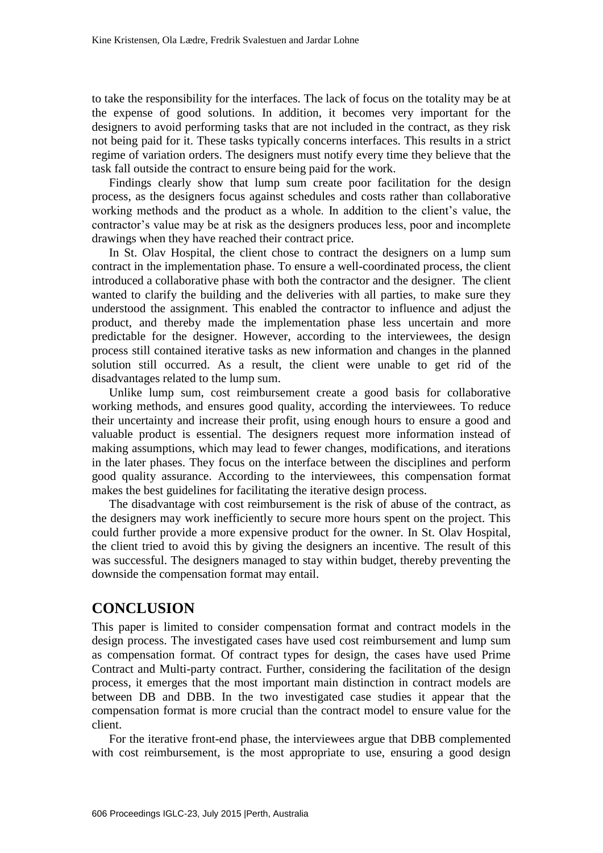to take the responsibility for the interfaces. The lack of focus on the totality may be at the expense of good solutions. In addition, it becomes very important for the designers to avoid performing tasks that are not included in the contract, as they risk not being paid for it. These tasks typically concerns interfaces. This results in a strict regime of variation orders. The designers must notify every time they believe that the task fall outside the contract to ensure being paid for the work.

Findings clearly show that lump sum create poor facilitation for the design process, as the designers focus against schedules and costs rather than collaborative working methods and the product as a whole. In addition to the client's value, the contractor's value may be at risk as the designers produces less, poor and incomplete drawings when they have reached their contract price.

In St. Olav Hospital, the client chose to contract the designers on a lump sum contract in the implementation phase. To ensure a well-coordinated process, the client introduced a collaborative phase with both the contractor and the designer. The client wanted to clarify the building and the deliveries with all parties, to make sure they understood the assignment. This enabled the contractor to influence and adjust the product, and thereby made the implementation phase less uncertain and more predictable for the designer. However, according to the interviewees, the design process still contained iterative tasks as new information and changes in the planned solution still occurred. As a result, the client were unable to get rid of the disadvantages related to the lump sum.

Unlike lump sum, cost reimbursement create a good basis for collaborative working methods, and ensures good quality, according the interviewees. To reduce their uncertainty and increase their profit, using enough hours to ensure a good and valuable product is essential. The designers request more information instead of making assumptions, which may lead to fewer changes, modifications, and iterations in the later phases. They focus on the interface between the disciplines and perform good quality assurance. According to the interviewees, this compensation format makes the best guidelines for facilitating the iterative design process.

The disadvantage with cost reimbursement is the risk of abuse of the contract, as the designers may work inefficiently to secure more hours spent on the project. This could further provide a more expensive product for the owner. In St. Olav Hospital, the client tried to avoid this by giving the designers an incentive. The result of this was successful. The designers managed to stay within budget, thereby preventing the downside the compensation format may entail.

## **CONCLUSION**

This paper is limited to consider compensation format and contract models in the design process. The investigated cases have used cost reimbursement and lump sum as compensation format. Of contract types for design, the cases have used Prime Contract and Multi-party contract. Further, considering the facilitation of the design process, it emerges that the most important main distinction in contract models are between DB and DBB. In the two investigated case studies it appear that the compensation format is more crucial than the contract model to ensure value for the client.

For the iterative front-end phase, the interviewees argue that DBB complemented with cost reimbursement, is the most appropriate to use, ensuring a good design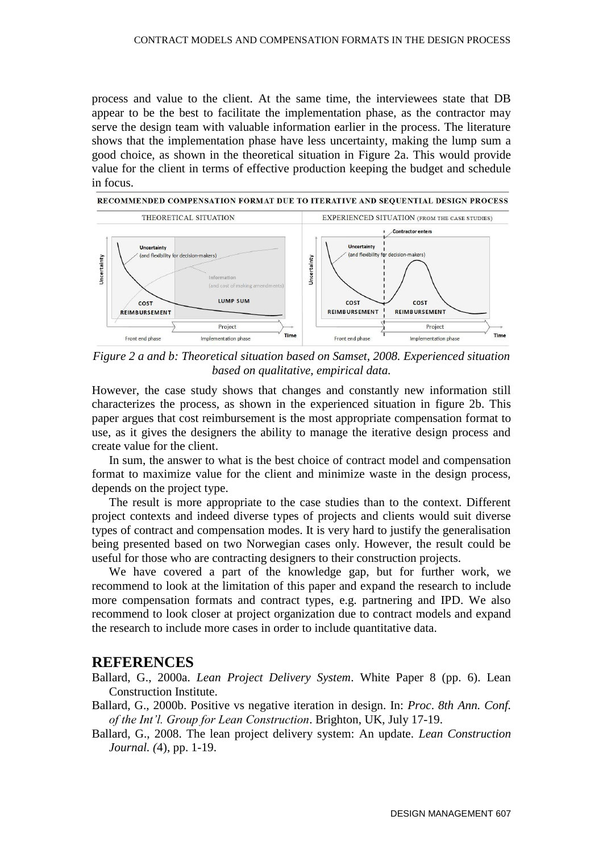process and value to the client. At the same time, the interviewees state that DB appear to be the best to facilitate the implementation phase, as the contractor may serve the design team with valuable information earlier in the process. The literature shows that the implementation phase have less uncertainty, making the lump sum a good choice, as shown in the theoretical situation in Figure 2a. This would provide value for the client in terms of effective production keeping the budget and schedule in focus.



*Figure 2 a and b: Theoretical situation based on Samset, 2008. Experienced situation based on qualitative, empirical data.*

However, the case study shows that changes and constantly new information still characterizes the process, as shown in the experienced situation in figure 2b. This paper argues that cost reimbursement is the most appropriate compensation format to use, as it gives the designers the ability to manage the iterative design process and create value for the client.

In sum, the answer to what is the best choice of contract model and compensation format to maximize value for the client and minimize waste in the design process, depends on the project type.

The result is more appropriate to the case studies than to the context. Different project contexts and indeed diverse types of projects and clients would suit diverse types of contract and compensation modes. It is very hard to justify the generalisation being presented based on two Norwegian cases only. However, the result could be useful for those who are contracting designers to their construction projects.

We have covered a part of the knowledge gap, but for further work, we recommend to look at the limitation of this paper and expand the research to include more compensation formats and contract types, e.g. partnering and IPD. We also recommend to look closer at project organization due to contract models and expand the research to include more cases in order to include quantitative data.

#### **REFERENCES**

Ballard, G., 2000a. *Lean Project Delivery System*. White Paper 8 (pp. 6). Lean Construction Institute.

- Ballard, G., 2000b. Positive vs negative iteration in design. In: *Proc*. *8th Ann. Conf. of the Int'l. Group for Lean Construction*. Brighton, UK, July 17-19.
- Ballard, G., 2008. The lean project delivery system: An update. *Lean Construction Journal. (*4), pp. 1-19.